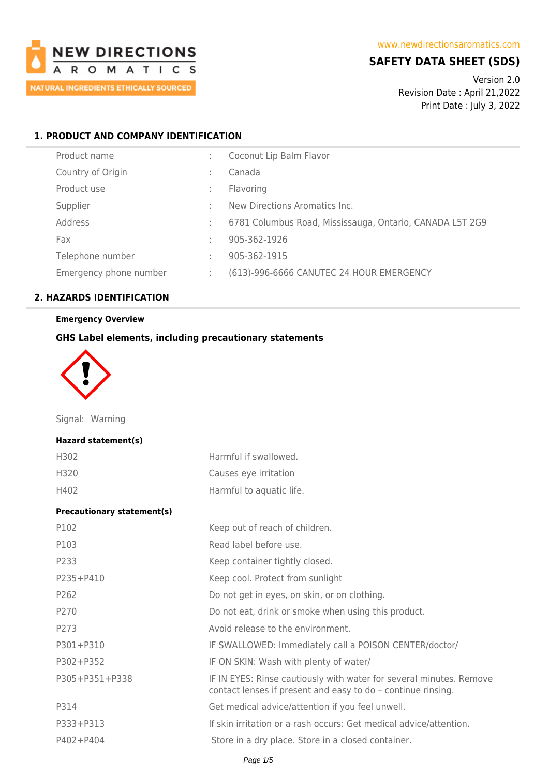

## **SAFETY DATA SHEET (SDS)**

Version 2.0 Revision Date : April 21,2022 Print Date : July 3, 2022

## **1. PRODUCT AND COMPANY IDENTIFICATION**

| Product name           |   | Coconut Lip Balm Flavor                                  |
|------------------------|---|----------------------------------------------------------|
| Country of Origin      |   | Canada                                                   |
| Product use            |   | Flavoring                                                |
| Supplier               |   | New Directions Aromatics Inc.                            |
| Address                |   | 6781 Columbus Road, Mississauga, Ontario, CANADA L5T 2G9 |
| Fax                    | ٠ | 905-362-1926                                             |
| Telephone number       | ÷ | 905-362-1915                                             |
| Emergency phone number |   | (613)-996-6666 CANUTEC 24 HOUR EMERGENCY                 |

## **2. HAZARDS IDENTIFICATION**

## **Emergency Overview**

### **GHS Label elements, including precautionary statements**



Signal: Warning

#### **Hazard statement(s)**

| H302 | Harmful if swallowed.    |
|------|--------------------------|
| H320 | Causes eye irritation    |
| H402 | Harmful to aquatic life. |

#### **Precautionary statement(s)**

| P102             | Keep out of reach of children.                                                                                                      |
|------------------|-------------------------------------------------------------------------------------------------------------------------------------|
| P103             | Read label before use.                                                                                                              |
| P233             | Keep container tightly closed.                                                                                                      |
| $P235 + P410$    | Keep cool. Protect from sunlight                                                                                                    |
| P <sub>262</sub> | Do not get in eyes, on skin, or on clothing.                                                                                        |
| P270             | Do not eat, drink or smoke when using this product.                                                                                 |
| P273             | Avoid release to the environment.                                                                                                   |
| P301+P310        | IF SWALLOWED: Immediately call a POISON CENTER/doctor/                                                                              |
| P302+P352        | IF ON SKIN: Wash with plenty of water/                                                                                              |
| P305+P351+P338   | IF IN EYES: Rinse cautiously with water for several minutes. Remove<br>contact lenses if present and easy to do - continue rinsing. |
| P314             | Get medical advice/attention if you feel unwell.                                                                                    |
| P333+P313        | If skin irritation or a rash occurs: Get medical advice/attention.                                                                  |
| P402+P404        | Store in a dry place. Store in a closed container.                                                                                  |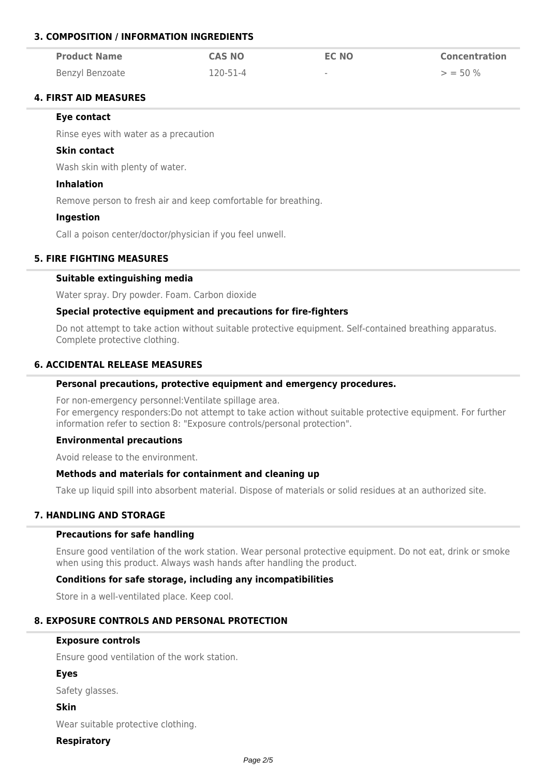## **3. COMPOSITION / INFORMATION INGREDIENTS**

| <b>Product Name</b>    | <b>CAS NO</b> | <b>EC NO</b> | <b>Concentration</b> |
|------------------------|---------------|--------------|----------------------|
| <b>Benzyl Benzoate</b> | 120-51-4      | $\sim$       | $>$ = 50 %           |

## **4. FIRST AID MEASURES**

#### **Eye contact**

Rinse eyes with water as a precaution

#### **Skin contact**

Wash skin with plenty of water.

### **Inhalation**

Remove person to fresh air and keep comfortable for breathing.

#### **Ingestion**

Call a poison center/doctor/physician if you feel unwell.

### **5. FIRE FIGHTING MEASURES**

### **Suitable extinguishing media**

Water spray. Dry powder. Foam. Carbon dioxide

### **Special protective equipment and precautions for fire-fighters**

Do not attempt to take action without suitable protective equipment. Self-contained breathing apparatus. Complete protective clothing.

### **6. ACCIDENTAL RELEASE MEASURES**

#### **Personal precautions, protective equipment and emergency procedures.**

For non-emergency personnel:Ventilate spillage area. For emergency responders:Do not attempt to take action without suitable protective equipment. For further information refer to section 8: "Exposure controls/personal protection".

## **Environmental precautions**

Avoid release to the environment.

### **Methods and materials for containment and cleaning up**

Take up liquid spill into absorbent material. Dispose of materials or solid residues at an authorized site.

## **7. HANDLING AND STORAGE**

#### **Precautions for safe handling**

Ensure good ventilation of the work station. Wear personal protective equipment. Do not eat, drink or smoke when using this product. Always wash hands after handling the product.

### **Conditions for safe storage, including any incompatibilities**

Store in a well-ventilated place. Keep cool.

## **8. EXPOSURE CONTROLS AND PERSONAL PROTECTION**

#### **Exposure controls**

Ensure good ventilation of the work station.

## **Eyes**

Safety glasses.

**Skin**

Wear suitable protective clothing.

## **Respiratory**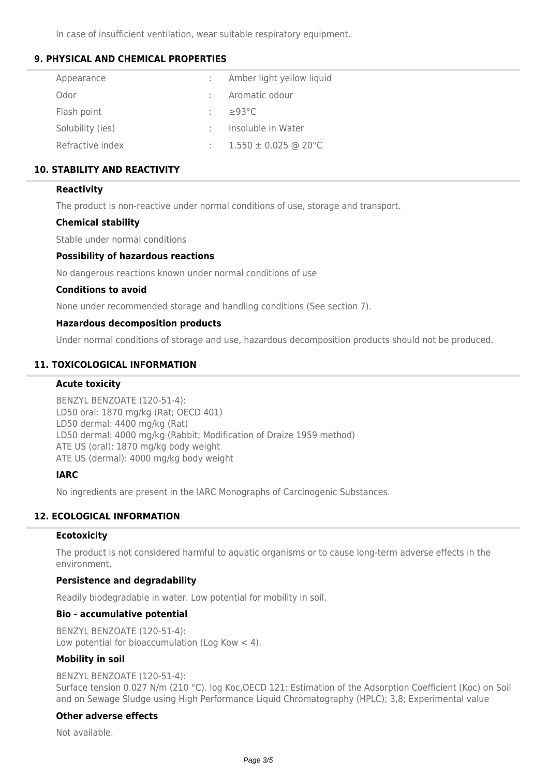In case of insufficient ventilation, wear suitable respiratory equipment.

## **9. PHYSICAL AND CHEMICAL PROPERTIES**

| Appearance       | Amber light yellow liquid |
|------------------|---------------------------|
| Odor             | Aromatic odour            |
| Flash point      | $\geq$ 93°C               |
| Solubility (ies) | Insoluble in Water        |
| Refractive index | $1.550 \pm 0.025$ @ 20 °C |

## **10. STABILITY AND REACTIVITY**

### **Reactivity**

The product is non-reactive under normal conditions of use, storage and transport.

### **Chemical stability**

Stable under normal conditions

### **Possibility of hazardous reactions**

No dangerous reactions known under normal conditions of use

#### **Conditions to avoid**

None under recommended storage and handling conditions (See section 7).

#### **Hazardous decomposition products**

Under normal conditions of storage and use, hazardous decomposition products should not be produced.

## **11. TOXICOLOGICAL INFORMATION**

#### **Acute toxicity**

BENZYL BENZOATE (120-51-4): LD50 oral: 1870 mg/kg (Rat; OECD 401) LD50 dermal: 4400 mg/kg (Rat) LD50 dermal: 4000 mg/kg (Rabbit; Modification of Draize 1959 method) ATE US (oral): 1870 mg/kg body weight ATE US (dermal): 4000 mg/kg body weight

### **IARC**

No ingredients are present in the IARC Monographs of Carcinogenic Substances.

## **12. ECOLOGICAL INFORMATION**

### **Ecotoxicity**

The product is not considered harmful to aquatic organisms or to cause long-term adverse effects in the environment.

## **Persistence and degradability**

Readily biodegradable in water. Low potential for mobility in soil.

### **Bio - accumulative potential**

BENZYL BENZOATE (120-51-4): Low potential for bioaccumulation (Log Kow < 4).

### **Mobility in soil**

#### BENZYL BENZOATE (120-51-4):

Surface tension 0.027 N/m (210 °C). log Koc,OECD 121: Estimation of the Adsorption Coefficient (Koc) on Soil and on Sewage Sludge using High Performance Liquid Chromatography (HPLC); 3,8; Experimental value

# **Other adverse effects**

Not available.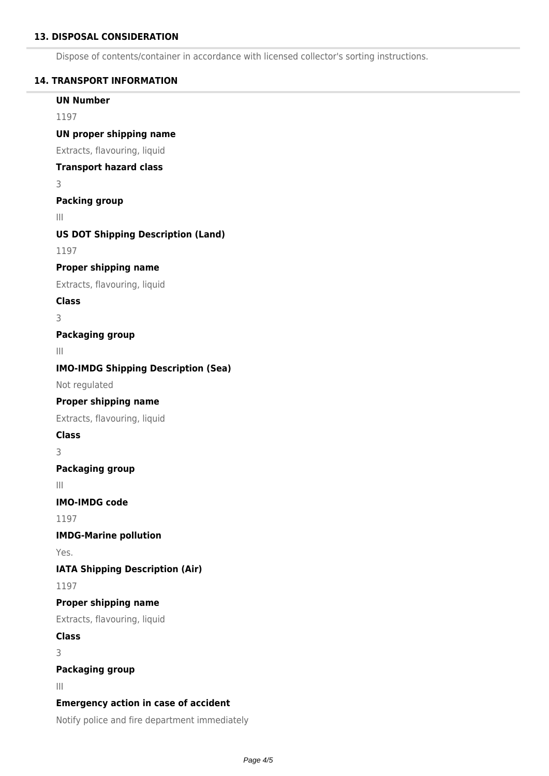## **13. DISPOSAL CONSIDERATION**

Dispose of contents/container in accordance with licensed collector's sorting instructions.

#### **14. TRANSPORT INFORMATION**

## **UN Number**

1197

## **UN proper shipping name**

Extracts, flavouring, liquid

## **Transport hazard class**

3

## **Packing group**

III

## **US DOT Shipping Description (Land)**

1197

## **Proper shipping name**

Extracts, flavouring, liquid

**Class**

3

## **Packaging group**

III

## **IMO-IMDG Shipping Description (Sea)**

Not regulated

## **Proper shipping name**

Extracts, flavouring, liquid

## **Class**

3

## **Packaging group**

III

## **IMO-IMDG code**

1197

### **IMDG-Marine pollution**

Yes.

**IATA Shipping Description (Air)**

1197

### **Proper shipping name**

Extracts, flavouring, liquid

## **Class**

3

## **Packaging group**

III

## **Emergency action in case of accident**

Notify police and fire department immediately